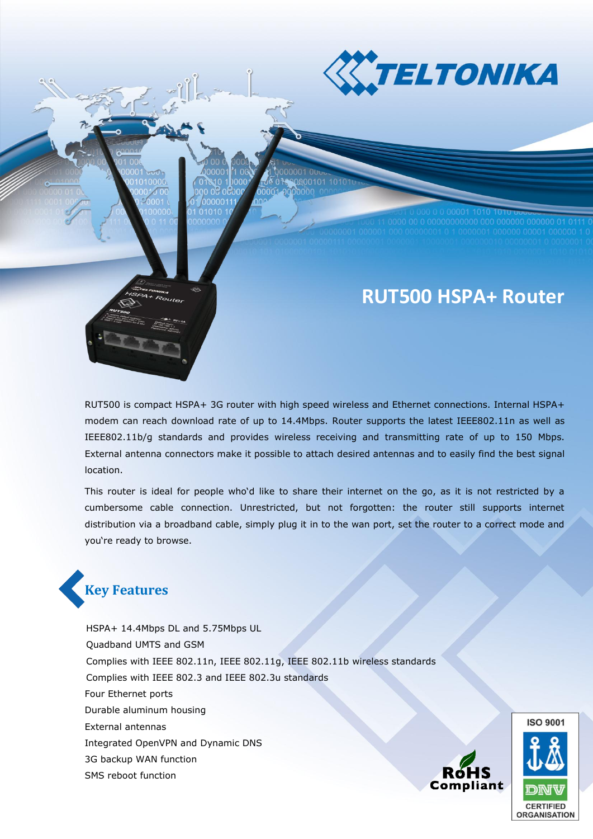

# **RUT500 HSPA+ Router**

RUT500 is compact HSPA+ 3G router with high speed wireless and Ethernet connections. Internal HSPA+ modem can reach download rate of up to 14.4Mbps. Router supports the latest IEEE802.11n as well as IEEE802.11b/g standards and provides wireless receiving and transmitting rate of up to 150 Mbps. External antenna connectors make it possible to attach desired antennas and to easily find the best signal location.

This router is ideal for people who'd like to share their internet on the go, as it is not restricted by a cumbersome cable connection. Unrestricted, but not forgotten: the router still supports internet distribution via a broadband cable, simply plug it in to the wan port, set the router to a correct mode and you're ready to browse.



HSPA+ 14.4Mbps DL and 5.75Mbps UL Quadband UMTS and GSM Complies with IEEE 802.11n, IEEE 802.11g, IEEE 802.11b wireless standards Complies with IEEE 802.3 and IEEE 802.3u standards Four Ethernet ports Durable aluminum housing External antennas Integrated OpenVPN and Dynamic DNS 3G backup WAN function SMS reboot function



**ISO 9001** 

**ORGANISATION**